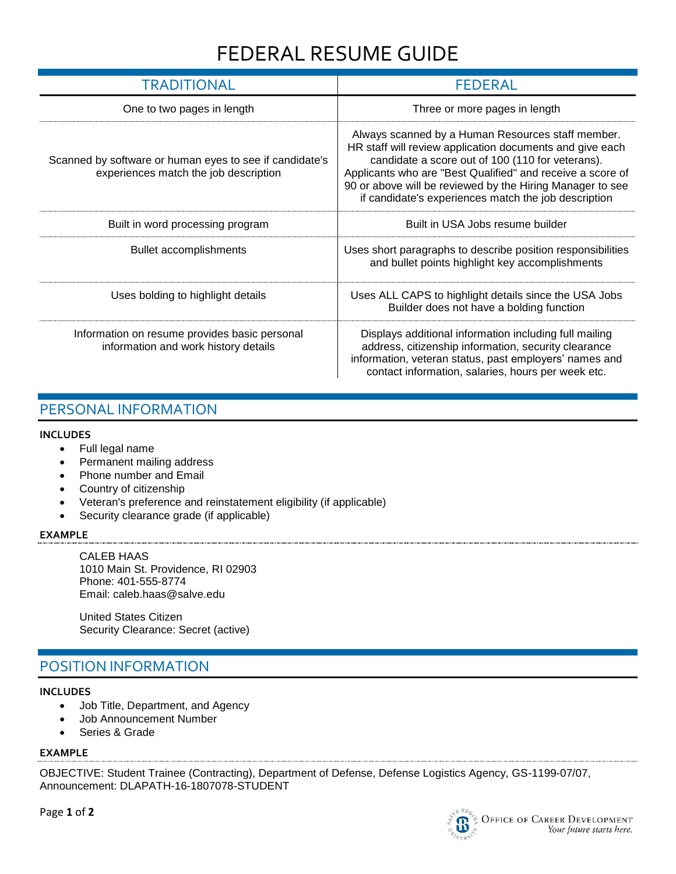# FEDERAL RESUME GUIDE

| TRADITIONAL                                                                                      | <b>FEDERAL</b>                                                                                                                                                                                                                                                                                                                                       |
|--------------------------------------------------------------------------------------------------|------------------------------------------------------------------------------------------------------------------------------------------------------------------------------------------------------------------------------------------------------------------------------------------------------------------------------------------------------|
| One to two pages in length                                                                       | Three or more pages in length                                                                                                                                                                                                                                                                                                                        |
| Scanned by software or human eyes to see if candidate's<br>experiences match the job description | Always scanned by a Human Resources staff member.<br>HR staff will review application documents and give each<br>candidate a score out of 100 (110 for veterans).<br>Applicants who are "Best Qualified" and receive a score of<br>90 or above will be reviewed by the Hiring Manager to see<br>if candidate's experiences match the job description |
| Built in word processing program                                                                 | Built in USA Jobs resume builder                                                                                                                                                                                                                                                                                                                     |
| <b>Bullet accomplishments</b>                                                                    | Uses short paragraphs to describe position responsibilities<br>and bullet points highlight key accomplishments                                                                                                                                                                                                                                       |
| Uses bolding to highlight details                                                                | Uses ALL CAPS to highlight details since the USA Jobs<br>Builder does not have a bolding function                                                                                                                                                                                                                                                    |
| Information on resume provides basic personal<br>information and work history details            | Displays additional information including full mailing<br>address, citizenship information, security clearance<br>information, veteran status, past employers' names and<br>contact information, salaries, hours per week etc.                                                                                                                       |

### PERSONAL INFORMATION

#### **INCLUDES**

- Full legal name
- Permanent mailing address
- Phone number and Email
- Country of citizenship
- Veteran's preference and reinstatement eligibility (if applicable)
- Security clearance grade (if applicable)

#### **EXAMPLE**

CALEB HAAS 1010 Main St. Providence, RI 02903 Phone: 401-555-8774 Email: caleb.haas@salve.edu

United States Citizen Security Clearance: Secret (active)

# POSITION INFORMATION

#### **INCLUDES**

- Job Title, Department, and Agency
- Job Announcement Number
- Series & Grade

### **EXAMPLE**

OBJECTIVE: Student Trainee (Contracting), Department of Defense, Defense Logistics Agency, GS-1199-07/07, Announcement: DLAPATH-16-1807078-STUDENT

Page **1** of **2**